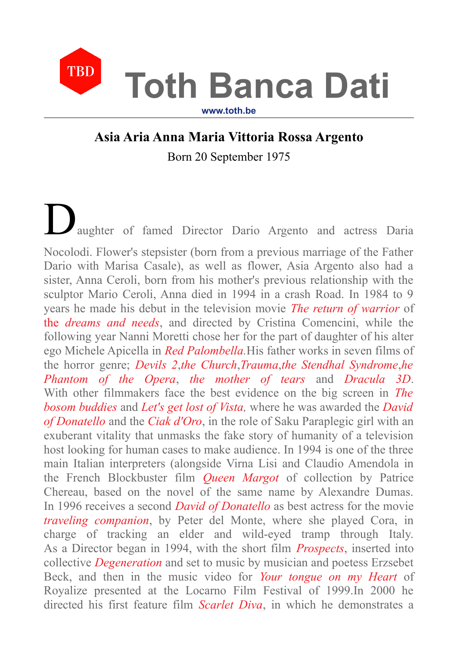**Toth Banca Dati**

## **Asia Aria Anna Maria Vittoria Rossa Argento**

**www.toth.be**

**TBD** 

Born 20 September 1975

aughter of famed Director Dario Argento and actress Daria Nocolodi. Flower's stepsister (born from a previous marriage of the Father Dario with Marisa Casale), as well as flower, Asia Argento also had a sister, Anna Ceroli, born from his mother's previous relationship with the sculptor Mario Ceroli, Anna died in 1994 in a crash Road. In 1984 to 9 years he made his debut in the television movie *The return of warrior* of the *dreams and needs*, and directed by Cristina Comencini, while the following year Nanni Moretti chose her for the part of daughter of his alter ego Michele Apicella in *Red Palombella.*His father works in seven films of the horror genre; *Devils 2*,*the Church*,*Trauma*,*the Stendhal Syndrome*,*he Phantom of the Opera*, *the mother of tears* and *Dracula 3D*. With other filmmakers face the best evidence on the big screen in *The bosom buddies* and *Let's get lost of Vista,* where he was awarded the *David of Donatello* and the *Ciak d'Oro*, in the role of Saku Paraplegic girl with an exuberant vitality that unmasks the fake story of humanity of a television host looking for human cases to make audience. In 1994 is one of the three main Italian interpreters (alongside Virna Lisi and Claudio Amendola in the French Blockbuster film *Queen Margot* of collection by Patrice Chereau, based on the novel of the same name by Alexandre Dumas. In 1996 receives a second *David of Donatello* as best actress for the movie *traveling companion*, by Peter del Monte, where she played Cora, in charge of tracking an elder and wild-eyed tramp through Italy. As a Director began in 1994, with the short film *Prospects*, inserted into collective *Degeneration* and set to music by musician and poetess Erzsebet Beck, and then in the music video for *Your tongue on my Heart* of Royalize presented at the Locarno Film Festival of 1999.In 2000 he directed his first feature film *Scarlet Diva*, in which he demonstrates a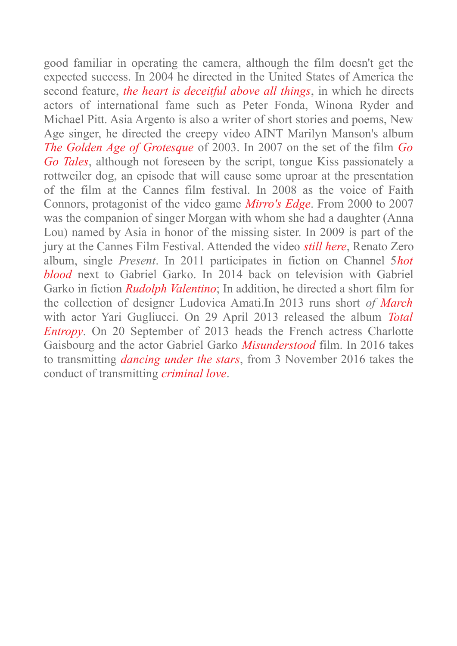good familiar in operating the camera, although the film doesn't get the expected success. In 2004 he directed in the United States of America the second feature, *the heart is deceitful above all things*, in which he directs actors of international fame such as Peter Fonda, Winona Ryder and Michael Pitt. Asia Argento is also a writer of short stories and poems, New Age singer, he directed the creepy video AINT Marilyn Manson's album *The Golden Age of Grotesque* of 2003. In 2007 on the set of the film *Go Go Tales*, although not foreseen by the script, tongue Kiss passionately a rottweiler dog, an episode that will cause some uproar at the presentation of the film at the Cannes film festival. In 2008 as the voice of Faith Connors, protagonist of the video game *Mirro's Edge*. From 2000 to 2007 was the companion of singer Morgan with whom she had a daughter (Anna Lou) named by Asia in honor of the missing sister. In 2009 is part of the jury at the Cannes Film Festival. Attended the video *still here*, Renato Zero album, single *Present*. In 2011 participates in fiction on Channel 5*hot blood* next to Gabriel Garko. In 2014 back on television with Gabriel Garko in fiction *Rudolph Valentino*; In addition, he directed a short film for the collection of designer Ludovica Amati.In 2013 runs short *of March* with actor Yari Gugliucci. On 29 April 2013 released the album *Total Entropy*. On 20 September of 2013 heads the French actress Charlotte Gaisbourg and the actor Gabriel Garko *Misunderstood* film. In 2016 takes to transmitting *dancing under the stars*, from 3 November 2016 takes the conduct of transmitting *criminal love*.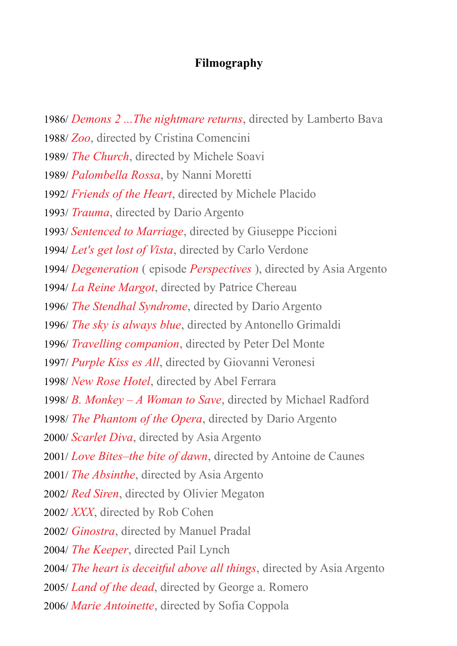# **Filmography**

1986/ *Demons 2 ...The nightmare returns*, directed by Lamberto Bava 1988/ *Zoo*, directed by Cristina Comencini 1989/ *The Church*, directed by Michele Soavi 1989/ *Palombella Rossa*, by Nanni Moretti 1992/ *Friends of the Heart*, directed by Michele Placido 1993/ *Trauma*, directed by Dario Argento 1993/ *Sentenced to Marriage*, directed by Giuseppe Piccioni 1994/ *Let's get lost of Vista*, directed by Carlo Verdone 1994/ *Degeneration* ( episode *Perspectives* ), directed by Asia Argento 1994/ *La Reine Margot*, directed by Patrice Chereau 1996/ *The Stendhal Syndrome*, directed by Dario Argento 1996/ *The sky is always blue*, directed by Antonello Grimaldi 1996/ *Travelling companion*, directed by Peter Del Monte 1997/ *Purple Kiss es All*, directed by Giovanni Veronesi 1998/ *New Rose Hotel*, directed by Abel Ferrara 1998/ *B. Monkey – A Woman to Save*, directed by Michael Radford 1998/ *The Phantom of the Opera*, directed by Dario Argento 2000/ *Scarlet Diva*, directed by Asia Argento 2001/ *Love Bites–the bite of dawn*, directed by Antoine de Caunes 2001/ *The Absinthe*, directed by Asia Argento 2002/ *Red Siren*, directed by Olivier Megaton 2002/ *XXX*, directed by Rob Cohen 2002/ *Ginostra*, directed by Manuel Pradal 2004/ *The Keeper*, directed Pail Lynch 2004/ *The heart is deceitful above all things*, directed by Asia Argento 2005/ *Land of the dead*, directed by George a. Romero 2006/ *Marie Antoinette*, directed by Sofia Coppola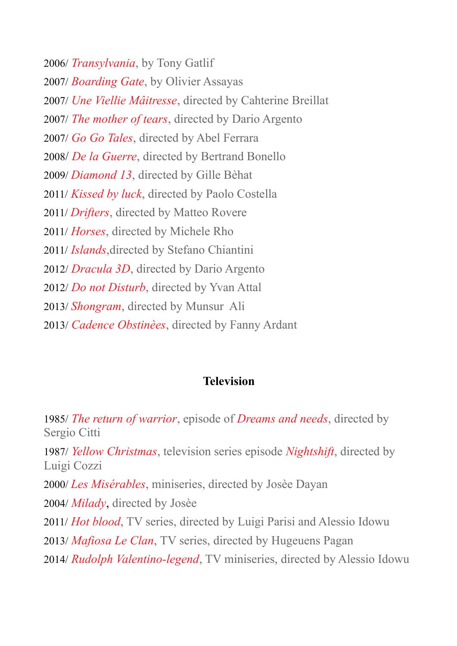2006/ *Transylvania*, by Tony Gatlif 2007/ *Boarding Gate*, by Olivier Assayas 2007/ *Une Viellie Mâitresse*, directed by Cahterine Breillat 2007/ *The mother of tears*, directed by Dario Argento 2007/ *Go Go Tales*, directed by Abel Ferrara 2008/ *De la Guerre*, directed by Bertrand Bonello 2009/ *Diamond 13*, directed by Gille Bèhat 2011/ *Kissed by luck*, directed by Paolo Costella 2011/ *Drifters*, directed by Matteo Rovere 2011/ *Horses*, directed by Michele Rho 2011/ *Islands*,directed by Stefano Chiantini 2012/ *Dracula 3D*, directed by Dario Argento 2012/ *Do not Disturb*, directed by Yvan Attal 2013/ *Shongram*, directed by Munsur Ali 2013/ *Cadence Obstinèes*, directed by Fanny Ardant

### **Television**

1985/ *The return of warrior*, episode of *Dreams and needs*, directed by Sergio Citti 1987/ *Yellow Christmas*, television series episode *Nightshift*, directed by Luigi Cozzi 2000/ *Les Misérables*, miniseries, directed by Josèe Dayan 2004/ *Milady*, directed by Josèe 2011/ *Hot blood*, TV series, directed by Luigi Parisi and Alessio Idowu 2013/ *Mafiosa Le Clan*, TV series, directed by Hugeuens Pagan 2014/ *Rudolph Valentino-legend*, TV miniseries, directed by Alessio Idowu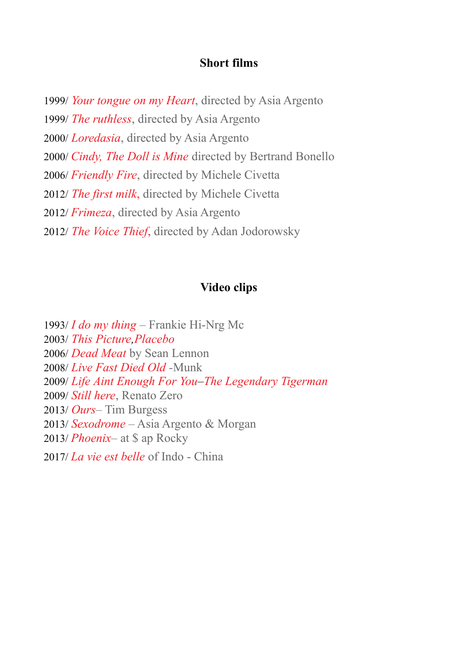#### **Short films**

1999/ *Your tongue on my Heart*, directed by Asia Argento 1999/ *The ruthless*, directed by Asia Argento 2000/ *Loredasia*, directed by Asia Argento 2000/ *Cindy, The Doll is Mine* directed by Bertrand Bonello 2006/ *Friendly Fire*, directed by Michele Civetta 2012/ *The first milk*, directed by Michele Civetta 2012/ *Frimeza*, directed by Asia Argento 2012/ *The Voice Thief*, directed by Adan Jodorowsky

#### **Video clips**

1993/ *I do my thing* – Frankie Hi-Nrg Mc 2003/ *This Picture,Placebo* 2006/ *Dead Meat* by Sean Lennon 2008/ *Live Fast Died Old -*Munk 2009/ *Life Aint Enough For You–The Legendary Tigerman* 2009/ *Still here*, Renato Zero 2013/ *Ours*– Tim Burgess 2013/ *Sexodrome* – Asia Argento & Morgan 2013/ *Phoenix*– at \$ ap Rocky 2017/ *La vie est belle* of Indo - China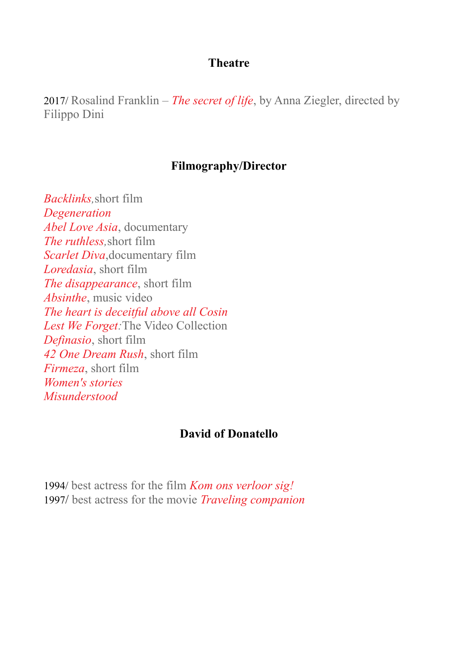#### **Theatre**

2017/ Rosalind Franklin – *The secret of life*, by Anna Ziegler, directed by Filippo Dini

# **Filmography/Director**

*Backlinks,*short film *Degeneration Abel Love Asia*, documentary *The ruthless,*short film *Scarlet Diva*,documentary film *Loredasia*, short film *The disappearance*, short film *Absinthe*, music video *The heart is deceitful above all Cosin Lest We Forget:*The Video Collection *Definasio*, short film *42 One Dream Rush*, short film *Firmeza*, short film *Women's stories Misunderstood*

### **David of Donatello**

1994/ best actress for the film *Kom ons verloor sig!* 1997/ best actress for the movie *Traveling companion*